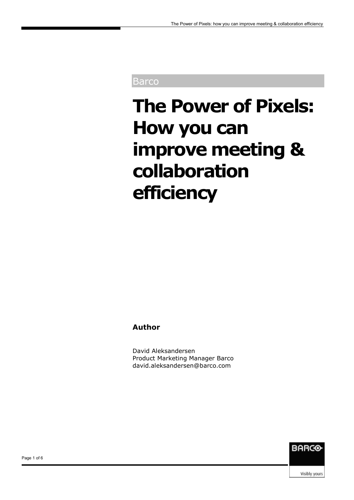#### Barco

# **The Power of Pixels: How you can improve meeting & collaboration efficiency**

#### **Author**

David Aleksandersen Product Marketing Manager Barco david.aleksandersen@barco.com



Visibly yours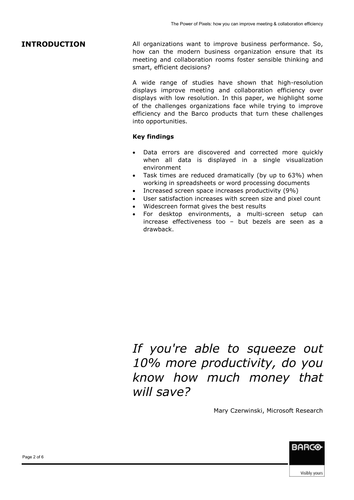#### **INTRODUCTION**

All organizations want to improve business performance. So, how can the modern business organization ensure that its meeting and collaboration rooms foster sensible thinking and smart, efficient decisions?

A wide range of studies have shown that high-resolution displays improve meeting and collaboration efficiency over displays with low resolution. In this paper, we highlight some of the challenges organizations face while trying to improve efficiency and the Barco products that turn these challenges into opportunities.

#### **Key findings**

- Data errors are discovered and corrected more quickly when all data is displayed in a single visualization environment
- Task times are reduced dramatically (by up to 63%) when working in spreadsheets or word processing documents
- Increased screen space increases productivity (9%)
- User satisfaction increases with screen size and pixel count
- Widescreen format gives the best results
- For desktop environments, a multi-screen setup can increase effectiveness too – but bezels are seen as a drawback.

# *If you're able to squeeze out 10% more productivity, do you know how much money that will save?*

Mary Czerwinski, Microsoft Research



**BARCO**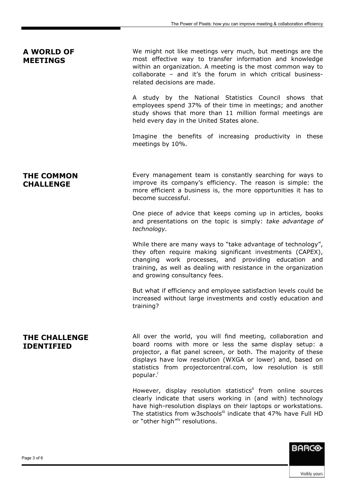#### We might not like meetings very much, but meetings are the most effective way to transfer information and knowledge within an organization. A meeting is the most common way to collaborate – and it's the forum in which critical businessrelated decisions are made. A study by the National Statistics Council shows that employees spend 37% of their time in meetings; and another study shows that more than 11 million formal meetings are held every day in the United States alone. Imagine the benefits of increasing productivity in these meetings by 10%. Every management team is constantly searching for ways to improve its company's efficiency. The reason is simple: the more efficient a business is, the more opportunities it has to become successful. One piece of advice that keeps coming up in articles, books and presentations on the topic is simply: *take advantage of technology.*  While there are many ways to "take advantage of technology", they often require making significant investments (CAPEX), changing work processes, and providing education and training, as well as dealing with resistance in the organization and growing consultancy fees. But what if efficiency and employee satisfaction levels could be increased without large investments and costly education and training? All over the world, you will find meeting, collaboration and board rooms with more or less the same display setup: a projector, a flat panel screen, or both. The majority of these displays have low resolution (WXGA or lower) and, based on statistics from projectorcentral.com, low resolution is still popular.<sup>i</sup> **A WORLD OF MEETINGS THE COMMON CHALLENGE THE CHALLENGE IDENTIFIED**

However, display resolution statistics<sup>ii</sup> from online sources clearly indicate that users working in (and with) technology have high-resolution displays on their laptops or workstations. The statistics from w3schoolsill indicate that 47% have Full HD or "other high"<sup>iv</sup> resolutions.

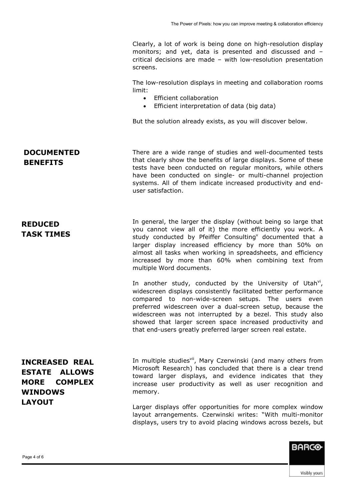Clearly, a lot of work is being done on high-resolution display monitors; and yet, data is presented and discussed and – critical decisions are made – with low-resolution presentation screens.

The low-resolution displays in meeting and collaboration rooms limit:

- Efficient collaboration
- Efficient interpretation of data (big data)

But the solution already exists, as you will discover below.

#### **DOCUMENTED BENEFITS**

**REDUCED TASK TIMES**  There are a wide range of studies and well-documented tests that clearly show the benefits of large displays. Some of these tests have been conducted on regular monitors, while others have been conducted on single- or multi-channel projection systems. All of them indicate increased productivity and enduser satisfaction.

In general, the larger the display (without being so large that you cannot view all of it) the more efficiently you work. A study conducted by Pfeiffer Consulting<sup>v</sup> documented that a larger display increased efficiency by more than 50% on almost all tasks when working in spreadsheets, and efficiency increased by more than 60% when combining text from multiple Word documents.

In another study, conducted by the University of Utah $\forall$ i, widescreen displays consistently facilitated better performance compared to non-wide-screen setups. The users even preferred widescreen over a dual-screen setup, because the widescreen was not interrupted by a bezel. This study also showed that larger screen space increased productivity and that end-users greatly preferred larger screen real estate.

## **INCREASED REAL ESTATE ALLOWS MORE COMPLEX WINDOWS LAYOUT**

In multiple studies<sup>vii</sup>, Mary Czerwinski (and many others from Microsoft Research) has concluded that there is a clear trend toward larger displays, and evidence indicates that they increase user productivity as well as user recognition and memory.

Larger displays offer opportunities for more complex window layout arrangements. Czerwinski writes: "With multi-monitor displays, users try to avoid placing windows across bezels, but

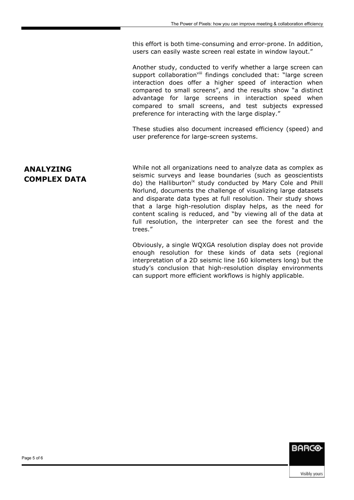this effort is both time-consuming and error-prone. In addition, users can easily waste screen real estate in window layout."

Another study, conducted to verify whether a large screen can support collaboration<sup>viii</sup> findings concluded that: "large screen interaction does offer a higher speed of interaction when compared to small screens", and the results show "a distinct advantage for large screens in interaction speed when compared to small screens, and test subjects expressed preference for interacting with the large display."

These studies also document increased efficiency (speed) and user preference for large-screen systems.

#### **ANALYZING COMPLEX DATA**

While not all organizations need to analyze data as complex as seismic surveys and lease boundaries (such as geoscientists do) the Halliburton<sup>ix</sup> study conducted by Mary Cole and Phill Norlund, documents the challenge of visualizing large datasets and disparate data types at full resolution. Their study shows that a large high-resolution display helps, as the need for content scaling is reduced, and "by viewing all of the data at full resolution, the interpreter can see the forest and the trees."

Obviously, a single WQXGA resolution display does not provide enough resolution for these kinds of data sets (regional interpretation of a 2D seismic line 160 kilometers long) but the study's conclusion that high-resolution display environments can support more efficient workflows is highly applicable.

**BARCO**